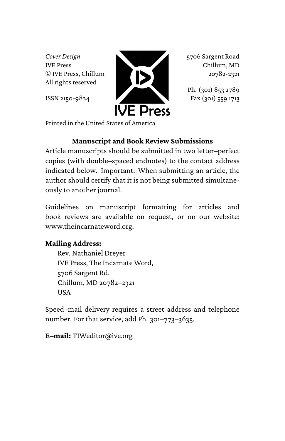*Cover Design* IVE Press © IVE Press, Chillum All rights reserved

ISSN 2150-9824



5706 Sargent Road Chillum, MD 20782-2321

Ph. (301) 853 2789 Fax (301) 559 1713

Printed in the United States of America

#### **Manuscript and Book Review Submissions**

Article manuscripts should be submitted in two letter–perfect copies (with double–spaced endnotes) to the contact address indicated below. Important: When submitting an article, the author should certify that it is not being submitted simultaneously to another journal.

Guidelines on manuscript formatting for articles and book reviews are available on request, or on our website: www.theincarnateword.org.

## **Mailing Address:**

Rev. Nathaniel Dreyer IVE Press, The Incarnate Word, 5706 Sargent Rd. Chillum, MD 20782–2321 **USA** 

Speed–mail delivery requires a street address and telephone number. For that service, add Ph. 301–773–3635.

**E–mail:** TIWeditor@ive.org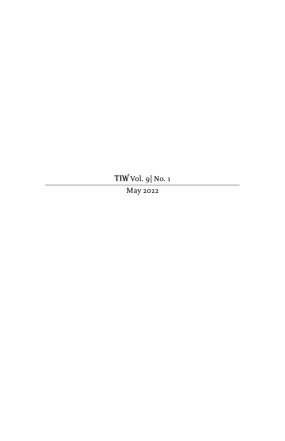TIW Vol. 9| No. 1

May 2022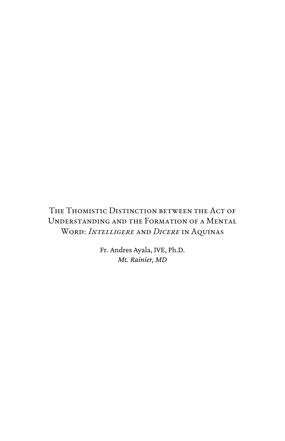# The Thomistic Distinction between the Act of Understanding and the Formation of a Mental Word: *Intelligere* and *Dicere* in Aquinas

Fr. Andres Ayala, IVE, Ph.D. *Mt. Rainier, MD*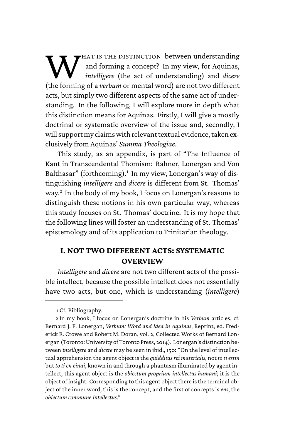W<br>Websiter hat is the distinction between understanding and forming a concept? In my view, for Aquinas, *intelligere* (the act of understanding) and *dicere* (the forming of a *verbum* or mental word) are not two different acts, but simply two different aspects of the same act of understanding. In the following, I will explore more in depth what this distinction means for Aquinas. Firstly, I will give a mostly doctrinal or systematic overview of the issue and, secondly, I will support my claims with relevant textual evidence, taken exclusively from Aquinas' *Summa Theologiae*.

This study, as an appendix, is part of "The Influence of Kant in Transcendental Thomism: Rahner, Lonergan and Von Balthasar" (forthcoming).<sup>1</sup> In my view, Lonergan's way of distinguishing *intelligere* and *dicere* is different from St. Thomas' way.<sup>2</sup> In the body of my book, I focus on Lonergan's reasons to distinguish these notions in his own particular way, whereas this study focuses on St. Thomas' doctrine. It is my hope that the following lines will foster an understanding of St. Thomas' epistemology and of its application to Trinitarian theology.

### **I. NOT TWO DIFFERENT ACTS: SYSTEMATIC OVERVIEW**

*Intelligere* and *dicere* are not two different acts of the possible intellect, because the possible intellect does not essentially have two acts, but one, which is understanding (*intelligere*)

1 Cf. Bibliography.

<sup>2</sup> In my book, I focus on Lonergan's doctrine in his *Verbum* articles, cf. Bernard J. F. Lonergan, *Verbum: Word and Idea in Aquinas*, Reprint, ed. Frederick E. Crowe and Robert M. Doran, vol. 2, Collected Works of Bernard Lonergan (Toronto: University of Toronto Press, 2014). Lonergan's distinction between *intelligere* and *dicere* may be seen in ibid., 150: "On the level of intellectual apprehension the agent object is the *quidditas rei materialis*, not *to ti estin* but *to ti en einai*, known in and through a phantasm illuminated by agent intellect; this agent object is the *obiectum proprium intellectus humani*; it is the object of insight. Corresponding to this agent object there is the terminal object of the inner word; this is the concept, and the first of concepts is *ens*, the *obiectum commune intellectus*."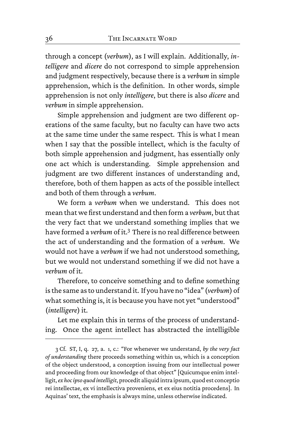through a concept (*verbum*), as I will explain. Additionally, *intelligere* and *dicere* do not correspond to simple apprehension and judgment respectively, because there is a *verbum* in simple apprehension, which is the definition. In other words, simple apprehension is not only *intelligere*, but there is also *dicere* and *verbum* in simple apprehension.

Simple apprehension and judgment are two different operations of the same faculty, but no faculty can have two acts at the same time under the same respect. This is what I mean when I say that the possible intellect, which is the faculty of both simple apprehension and judgment, has essentially only one act which is understanding. Simple apprehension and judgment are two different instances of understanding and, therefore, both of them happen as acts of the possible intellect and both of them through a *verbum*.

We form a *verbum* when we understand. This does not mean that we first understand and then form a *verbum*, but that the very fact that we understand something implies that we have formed a *verbum* of it.<sup>3</sup> There is no real difference between the act of understanding and the formation of a *verbum*. We would not have a *verbum* if we had not understood something, but we would not understand something if we did not have a *verbum* of it.

Therefore, to conceive something and to define something is the same as to understand it. If you have no "idea" (*verbum*) of what something is, it is because you have not yet "understood" (*intelligere*) it.

Let me explain this in terms of the process of understanding. Once the agent intellect has abstracted the intelligible

<sup>3</sup> Cf. ST, I, q. 27, a. 1, c.: "For whenever we understand, *by the very fact of understanding* there proceeds something within us, which is a conception of the object understood, a conception issuing from our intellectual power and proceeding from our knowledge of that object" [Quicumque enim intelligit,*ex hoc ipso quod intelligit*, procedit aliquid intra ipsum, quod est conceptio rei intellectae, ex vi intellectiva proveniens, et ex eius notitia procedens]. In Aquinas' text, the emphasis is always mine, unless otherwise indicated.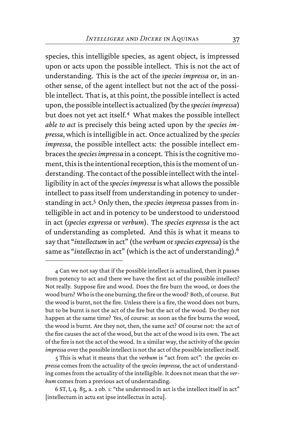species, this intelligible species, as agent object, is impressed upon or acts upon the possible intellect. This is not the act of understanding. This is the act of the *species impressa* or, in another sense, of the agent intellect but not the act of the possible intellect. That is, at this point, the possible intellect is acted upon, the possible intellect is actualized (by the *speciesimpressa*) but does not yet act itself.<sup>4</sup> What makes the possible intellect *able to act* is precisely this being acted upon by the *species impressa*, which is intelligible in act. Once actualized by the *species impressa*, the possible intellect acts: the possible intellect embraces the *species impressa* in a concept. This is the cognitive moment, this is the intentional reception, this is the moment of understanding. The contact of the possible intellect with the intelligibility in act of the *species impressa* is what allows the possible intellect to pass itself from understanding in potency to understanding in act.<sup>5</sup> Only then, the *species impressa* passes from intelligible in act and in potency to be understood to understood in act (*species expressa* or *verbum*). The *species expressa* is the act of understanding as completed. And this is what it means to say that "*intellectum* in act" (the *verbum* or*species expressa*) is the same as "*intellectus* in act" (which is the act of understanding).<sup>6</sup>

5 This is what it means that the *verbum* is "act from act": the *species expressa* comes from the actuality of the *species impressa*, the act of understanding comes from the actuality of the intelligible. It does not mean that the *verbum* comes from a previous act of understanding.

6 ST, I, q. 85, a. 2 ob. 1: "the understood in act is the intellect itself in act" [intellectum in actu est ipse intellectus in actu].

<sup>4</sup> Can we not say that if the possible intellect is actualized, then it passes from potency to act and there we have the first act of the possible intellect? Not really. Suppose fire and wood. Does the fire burn the wood, or does the wood burn? Who is the one burning, the fire or the wood? Both, of course. But the wood is burnt, not the fire. Unless there is a fire, the wood does not burn, but to be burnt is not the act of the fire but the act of the wood. Do they not happen at the same time? Yes, of course: as soon as the fire burns the wood, the wood is burnt. Are they not, then, the same act? Of course not: the act of the fire causes the act of the wood, but the act of the wood is its own. The act of the fire is not the act of the wood. In a similar way, the activity of the *species impressa* over the possible intellect is not the act of the possible intellect itself.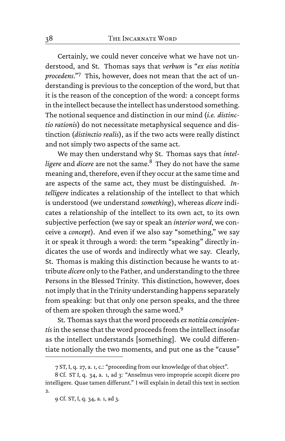Certainly, we could never conceive what we have not understood, and St. Thomas says that *verbum* is "*ex eius notitia procedens*."<sup>7</sup> This, however, does not mean that the act of understanding is previous to the conception of the word, but that it is the reason of the conception of the word: a concept forms in the intellect because the intellect has understood something. The notional sequence and distinction in our mind (*i.e. distinctio rationis*) do not necessitate metaphysical sequence and distinction (*distinctio realis*), as if the two acts were really distinct and not simply two aspects of the same act.

We may then understand why St. Thomas says that *intel*ligere and *dicere* are not the same.<sup>8</sup> They do not have the same meaning and, therefore, even if they occur at the same time and are aspects of the same act, they must be distinguished. *Intelligere* indicates a relationship of the intellect to that which is understood (we understand *something*), whereas *dicere* indicates a relationship of the intellect to its own act, to its own subjective perfection (we say or speak an *interior word*, we conceive a *concept*). And even if we also say "something," we say it or speak it through a word: the term "speaking" directly indicates the use of words and indirectly what we say. Clearly, St. Thomas is making this distinction because he wants to attribute *dicere* only to the Father, and understanding to the three Persons in the Blessed Trinity. This distinction, however, does not imply that in the Trinity understanding happens separately from speaking: but that only one person speaks, and the three of them are spoken through the same word.<sup>9</sup>

St. Thomas says that the word proceeds*ex notitia concipientis* in the sense that the word proceeds from the intellect insofar as the intellect understands [something]. We could differentiate notionally the two moments, and put one as the "cause"

<sup>7</sup> ST, I, q. 27, a. 1, c.: "proceeding from our knowledge of that object".

<sup>8</sup> Cf. ST I, q. 34, a. 1, ad 3: "Anselmus vero improprie accepit dicere pro intelligere. Quae tamen differunt." I will explain in detail this text in section 2.

<sup>9</sup> Cf. ST, I, q. 34, a. 1, ad 3.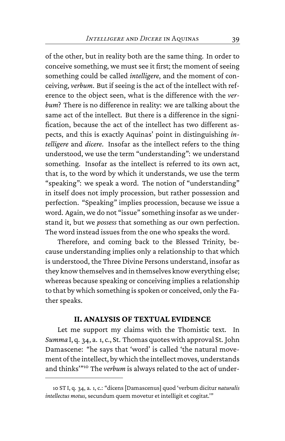of the other, but in reality both are the same thing. In order to conceive something, we must see it first; the moment of seeing something could be called *intelligere*, and the moment of conceiving, *verbum*. But if seeing is the act of the intellect with reference to the object seen, what is the difference with the *verbum*? There is no difference in reality: we are talking about the same act of the intellect. But there is a difference in the signification, because the act of the intellect has two different aspects, and this is exactly Aquinas' point in distinguishing *intelligere* and *dicere*. Insofar as the intellect refers to the thing understood, we use the term "understanding": we understand something. Insofar as the intellect is referred to its own act, that is, to the word by which it understands, we use the term "speaking": we speak a word. The notion of "understanding" in itself does not imply procession, but rather possession and perfection. "Speaking" implies procession, because we issue a word. Again, we do not "issue" something insofar as we understand it, but we *possess* that something as our own perfection. The word instead issues from the one who speaks the word.

Therefore, and coming back to the Blessed Trinity, because understanding implies only a relationship to that which is understood, the Three Divine Persons understand, insofar as they know themselves and in themselves know everything else; whereas because speaking or conceiving implies a relationship to that by which something is spoken or conceived, only the Father speaks.

#### **II. ANALYSIS OF TEXTUAL EVIDENCE**

Let me support my claims with the Thomistic text. In *Summa* I, q. 34, a. 1, c., St. Thomas quotes with approval St. John Damascene: "he says that 'word' is called 'the natural movement of the intellect, by which the intellect moves, understands and thinks'"<sup>10</sup> The *verbum* is always related to the act of under-

<sup>10</sup> ST I, q. 34, a. 1, c.: "dicens [Damascenus] quod 'verbum dicitur *naturalis intellectus motus*, secundum quem movetur et intelligit et cogitat.'"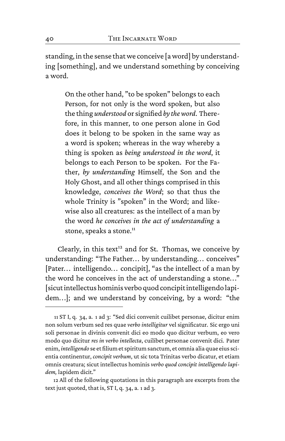standing, in the sense that we conceive [a word] by understanding [something], and we understand something by conceiving a word.

On the other hand, "to be spoken" belongs to each Person, for not only is the word spoken, but also the thing *understood* or signified *bythe word*. Therefore, in this manner, to one person alone in God does it belong to be spoken in the same way as a word is spoken; whereas in the way whereby a thing is spoken as *being understood in the word*, it belongs to each Person to be spoken. For the Father, *by understanding* Himself, the Son and the Holy Ghost, and all other things comprised in this knowledge, *conceives the Word*; so that thus the whole Trinity is "spoken" in the Word; and likewise also all creatures: as the intellect of a man by the word *he conceives in the act of understanding* a stone, speaks a stone.<sup>11</sup>

Clearly, in this text<sup>12</sup> and for St. Thomas, we conceive by understanding: "The Father... by understanding... conceives" [Pater... intelligendo... concipit], "as the intellect of a man by the word he conceives in the act of understanding a stone.. ." [sicut intellectus hominis verbo quod concipit intelligendo lapidem.. .]; and we understand by conceiving, by a word: "the

<sup>11</sup> ST I, q. 34, a. 1 ad 3: "Sed dici convenit cuilibet personae, dicitur enim non solum verbum sed res quae *verbo intelligitur* vel significatur. Sic ergo uni soli personae in divinis convenit dici eo modo quo dicitur verbum, eo vero modo quo dicitur *res in verbo intellecta*, cuilibet personae convenit dici. Pater enim, *intelligendo* se et filium et spiritum sanctum, et omnia alia quae eius scientia continentur, *concipit verbum*, ut sic tota Trinitas verbo dicatur, et etiam omnis creatura; sicut intellectus hominis *verbo quod concipit intelligendo lapidem,* lapidem dicit."

<sup>12</sup> All of the following quotations in this paragraph are excerpts from the text just quoted, that is, ST I, q. 34, a. 1 ad 3.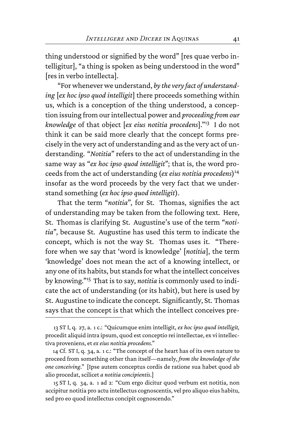thing understood or signified by the word" [res quae verbo intelligitur], "a thing is spoken as being understood in the word" [res in verbo intellecta].

"For whenever we understand, *by the very fact of understanding* [*ex hoc ipso quod intelligit*] there proceeds something within us, which is a conception of the thing understood, a conception issuing from our intellectual power and *proceeding from our knowledge* of that object [*ex eius notitia procedens*]."<sup>13</sup> I do not think it can be said more clearly that the concept forms precisely in the very act of understanding and as the very act of understanding. "*Notitia*" refers to the act of understanding in the same way as "*ex hoc ipso quod intelligit*"; that is, the word proceeds from the act of understanding (*ex eius notitia procedens*) 14 insofar as the word proceeds by the very fact that we understand something (*ex hoc ipso quod intelligit*).

That the term "*notitia*", for St. Thomas, signifies the act of understanding may be taken from the following text. Here, St. Thomas is clarifying St. Augustine's use of the term "*notitia*", because St. Augustine has used this term to indicate the concept, which is not the way St. Thomas uses it. "Therefore when we say that 'word is knowledge' [*notitia*], the term 'knowledge' does not mean the act of a knowing intellect, or any one of its habits, but stands for what the intellect conceives by knowing."<sup>15</sup> That is to say, *notitia* is commonly used to indicate the act of understanding (or its habit), but here is used by St. Augustine to indicate the concept. Significantly, St. Thomas says that the concept is that which the intellect conceives pre-

<sup>13</sup> ST I, q. 27, a. 1 c.: "Quicumque enim intelligit, *ex hoc ipso quod intelligit,* procedit aliquid intra ipsum, quod est conceptio rei intellectae, ex vi intellectiva proveniens, et*ex eius notitia procedens*."

<sup>14</sup> Cf. ST I, q. 34, a. 1 c.: "The concept of the heart has of its own nature to proceed from something other than itself—namely, *from the knowledge of the one conceiving*." [Ipse autem conceptus cordis de ratione sua habet quod ab alio procedat, scilicet *a notitia concipientis*.]

<sup>15</sup> ST I, q. 34, a. 1 ad 2: "Cum ergo dicitur quod verbum est notitia, non accipitur notitia pro actu intellectus cognoscentis, vel pro aliquo eius habitu, sed pro eo quod intellectus concipit cognoscendo."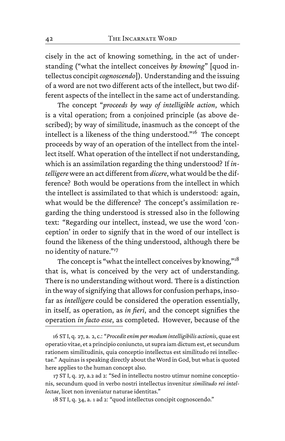cisely in the act of knowing something, in the act of understanding ("what the intellect conceives *by knowing*" [quod intellectus concipit*cognoscendo*]). Understanding and the issuing of a word are not two different acts of the intellect, but two different aspects of the intellect in the same act of understanding.

The concept "*proceeds by way of intelligible action*, which is a vital operation; from a conjoined principle (as above described); by way of similitude, inasmuch as the concept of the intellect is a likeness of the thing understood."<sup>16</sup> The concept proceeds by way of an operation of the intellect from the intellect itself. What operation of the intellect if not understanding, which is an assimilation regarding the thing understood? If *intelligere* were an act different from *dicere*, what would be the difference? Both would be operations from the intellect in which the intellect is assimilated to that which is understood: again, what would be the difference? The concept's assimilation regarding the thing understood is stressed also in the following text: "Regarding our intellect, instead, we use the word 'conception' in order to signify that in the word of our intellect is found the likeness of the thing understood, although there be no identity of nature."<sup>17</sup>

The concept is "what the intellect conceives by knowing,"<sup>18</sup> that is, what is conceived by the very act of understanding. There is no understanding without word. There is a distinction in the way of signifying that allows for confusion perhaps, insofar as *intelligere* could be considered the operation essentially, in itself, as operation, as *in fieri*, and the concept signifies the operation *in facto esse*, as completed. However, because of the

<sup>16</sup> ST I, q. 27, a. 2, c.: "*Procedit enim per modum intelligibilis actionis*, quae est operatio vitae, et a principio coniuncto, ut supra iam dictum est, et secundum rationem similitudinis, quia conceptio intellectus est similitudo rei intellectae." Aquinas is speaking directly about the Word in God, but what is quoted here applies to the human concept also.

<sup>17</sup> ST I, q. 27, a.2 ad 2: "Sed in intellectu nostro utimur nomine conceptionis, secundum quod in verbo nostri intellectus invenitur *similitudo rei intellectae*, licet non inveniatur naturae identitas."

<sup>18</sup> ST I, q. 34, a. 1 ad 2: "quod intellectus concipit cognoscendo."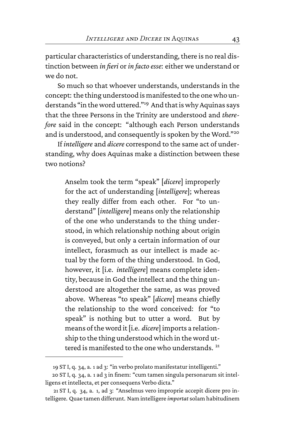particular characteristics of understanding, there is no real distinction between *in fieri* or*in facto esse*: either we understand or we do not.

So much so that whoever understands, understands in the concept: the thing understood is manifested to the one who understands "in the word uttered."<sup>19</sup> And that is why Aquinas says that the three Persons in the Trinity are understood and *therefore* said in the concept: "although each Person understands and is understood, and consequently is spoken by the Word."<sup>20</sup>

If *intelligere* and *dicere* correspond to the same act of understanding, why does Aquinas make a distinction between these two notions?

Anselm took the term "speak" [*dicere*] improperly for the act of understanding [*intelligere*]; whereas they really differ from each other. For "to understand" [*intelligere*] means only the relationship of the one who understands to the thing understood, in which relationship nothing about origin is conveyed, but only a certain information of our intellect, forasmuch as our intellect is made actual by the form of the thing understood. In God, however, it [i.e. *intelligere*] means complete identity, because in God the intellect and the thing understood are altogether the same, as was proved above. Whereas "to speak" [*dicere*] means chiefly the relationship to the word conceived: for "to speak" is nothing but to utter a word. But by means of the word it [i.e. *dicere*] imports a relationship to the thing understood which in the word uttered is manifested to the one who understands.<sup>21</sup>

<sup>19</sup> ST I, q. 34, a. 1 ad 3: "in verbo prolato manifestatur intelligenti."

<sup>20</sup> ST I, q. 34, a. 1 ad 3 in finem: "cum tamen singula personarum sit intelligens et intellecta, et per consequens Verbo dicta."

<sup>21</sup> ST I, q. 34, a. 1, ad 3: "Anselmus vero improprie accepit dicere pro intelligere. Quae tamen differunt. Nam intelligere *importat*solam habitudinem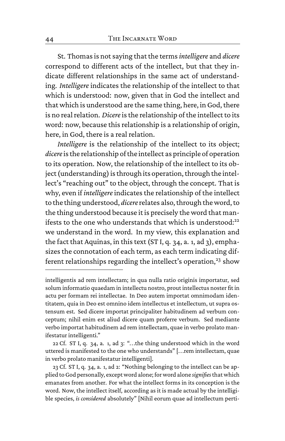St. Thomas is not saying that the terms*intelligere* and *dicere* correspond to different acts of the intellect, but that they indicate different relationships in the same act of understanding. *Intelligere* indicates the relationship of the intellect to that which is understood: now, given that in God the intellect and that which is understood are the same thing, here, in God, there is no real relation. *Dicere*is the relationship of the intellect to its word: now, because this relationship is a relationship of origin, here, in God, there is a real relation.

*Intelligere* is the relationship of the intellect to its object; *dicere*is the relationship of the intellect as principle of operation to its operation. Now, the relationship of the intellect to its object (understanding) is through its operation, through the intellect's "reaching out" to the object, through the concept. That is why, even if *intelligere*indicates the relationship of the intellect to the thing understood, *dicere*relates also, through the word, to the thing understood because it is precisely the word that manifests to the one who understands that which is understood: $22$ we understand in the word. In my view, this explanation and the fact that Aquinas, in this text (ST I, q. 34, a. 1, ad 3), emphasizes the connotation of each term, as each term indicating different relationships regarding the intellect's operation,<sup>23</sup> show

intelligentis ad rem intellectam; in qua nulla ratio originis importatur, sed solum informatio quaedam in intellectu nostro, prout intellectus noster fit in actu per formam rei intellectae. In Deo autem importat omnimodam identitatem, quia in Deo est omnino idem intellectus et intellectum, ut supra ostensum est. Sed dicere importat principaliter habitudinem ad verbum conceptum; nihil enim est aliud dicere quam proferre verbum. Sed mediante verbo importat habitudinem ad rem intellectam, quae in verbo prolato manifestatur intelligenti."

<sup>22</sup> Cf. ST I, q. 34, a. 1, ad 3: ".. .the thing understood which in the word uttered is manifested to the one who understands" [. . .rem intellectam, quae in verbo prolato manifestatur intelligenti].

<sup>23</sup> Cf. ST I, q. 34, a. 1, ad 2: "Nothing belonging to the intellect can be applied to God personally, except word alone; for word alone *signifies*that which emanates from another. For what the intellect forms in its conception is the word. Now, the intellect itself, according as it is made actual by the intelligible species, *is considered* absolutely" [Nihil eorum quae ad intellectum perti-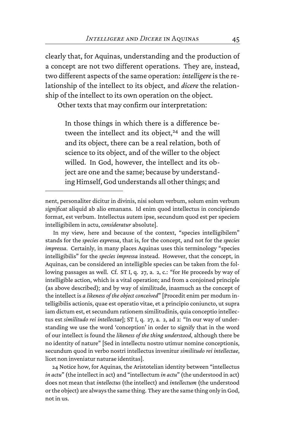clearly that, for Aquinas, understanding and the production of a concept are not two different operations. They are, instead, two different aspects of the same operation: *intelligere*is the relationship of the intellect to its object, and *dicere* the relationship of the intellect to its own operation on the object.

Other texts that may confirm our interpretation:

In those things in which there is a difference between the intellect and its object,<sup>24</sup> and the will and its object, there can be a real relation, both of science to its object, and of the willer to the object willed. In God, however, the intellect and its object are one and the same; because by understanding Himself, God understands all other things; and

In my view, here and because of the context, "species intelligibilem" stands for the *species expressa*, that is, for the concept, and not for the *species impressa*. Certainly, in many places Aquinas uses this terminology "species intelligibilis" for the *species impressa* instead. However, that the concept, in Aquinas, can be considered an intelligible species can be taken from the following passages as well. Cf. ST I, q. 27, a. 2, c.: "for He proceeds by way of intelligible action, which is a vital operation; and from a conjoined principle (as above described); and by way of similitude, inasmuch as the concept of the intellect is *a likeness of the object conceived*" [Procedit enim per modum intelligibilis actionis, quae est operatio vitae, et a principio coniuncto, ut supra iam dictum est, et secundum rationem similitudinis, quia conceptio intellectus est *similitudo rei intellectae*]; ST I, q. 27, a. 2, ad 2: "In our way of understanding we use the word 'conception' in order to signify that in the word of our intellect is found the *likeness of the thing understood*, although there be no identity of nature" [Sed in intellectu nostro utimur nomine conceptionis, secundum quod in verbo nostri intellectus invenitur *similitudo rei intellectae*, licet non inveniatur naturae identitas].

24 Notice how, for Aquinas, the Aristotelian identity between "intellectus *in actu*" (the intellect in act) and "intellectum *in actu*" (the understood in act) does not mean that *intellectus* (the intellect) and *intellectum* (the understood or the object) are always the same thing. They are the same thing only in God, not in us.

nent, personaliter dicitur in divinis, nisi solum verbum, solum enim verbum *significat* aliquid ab alio emanans. Id enim quod intellectus in concipiendo format, est verbum. Intellectus autem ipse, secundum quod est per speciem intelligibilem in actu, *consideratur* absolute].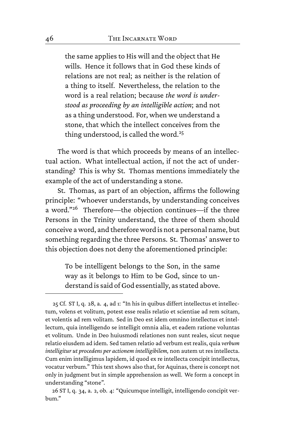the same applies to His will and the object that He wills. Hence it follows that in God these kinds of relations are not real; as neither is the relation of a thing to itself. Nevertheless, the relation to the word is a real relation; because *the word is understood as proceeding by an intelligible action*; and not as a thing understood. For, when we understand a stone, that which the intellect conceives from the thing understood, is called the word.<sup>25</sup>

The word is that which proceeds by means of an intellectual action. What intellectual action, if not the act of understanding? This is why St. Thomas mentions immediately the example of the act of understanding a stone.

St. Thomas, as part of an objection, affirms the following principle: "whoever understands, by understanding conceives a word."<sup>26</sup> Therefore—the objection continues—if the three Persons in the Trinity understand, the three of them should conceive a word, and therefore word is not a personal name, but something regarding the three Persons. St. Thomas' answer to this objection does not deny the aforementioned principle:

> To be intelligent belongs to the Son, in the same way as it belongs to Him to be God, since to understand is said of God essentially, as stated above.

<sup>25</sup> Cf. ST I, q. 28, a. 4, ad 1: "In his in quibus differt intellectus et intellectum, volens et volitum, potest esse realis relatio et scientiae ad rem scitam, et volentis ad rem volitam. Sed in Deo est idem omnino intellectus et intellectum, quia intelligendo se intelligit omnia alia, et eadem ratione voluntas et volitum. Unde in Deo huiusmodi relationes non sunt reales, sicut neque relatio eiusdem ad idem. Sed tamen relatio ad verbum est realis, quia *verbum intelligitur ut procedens per actionem intelligibilem,* non autem ut res intellecta. Cum enim intelligimus lapidem, id quod ex re intellecta concipit intellectus, vocatur verbum." This text shows also that, for Aquinas, there is concept not only in judgment but in simple apprehension as well. We form a concept in understanding "stone".

<sup>26</sup> ST I, q. 34, a. 2, ob. 4: "Quicumque intelligit, intelligendo concipit verbum."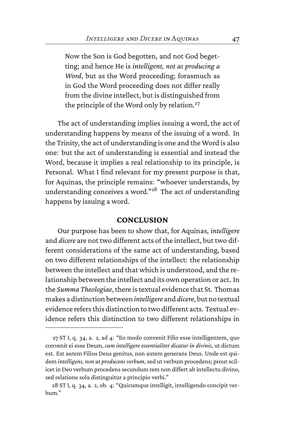Now the Son is God begotten, and not God begetting; and hence He is *intelligent, not as producing a Word*, but as the Word proceeding; forasmuch as in God the Word proceeding does not differ really from the divine intellect, but is distinguished from the principle of the Word only by relation.<sup>27</sup>

The act of understanding implies issuing a word, the act of understanding happens by means of the issuing of a word. In the Trinity, the act of understanding is one and the Word is also one: but the act of understanding is essential and instead the Word, because it implies a real relationship to its principle, is Personal. What I find relevant for my present purpose is that, for Aquinas, the principle remains: "whoever understands, by understanding conceives a word."<sup>28</sup> The act of understanding happens by issuing a word.

#### **CONCLUSION**

Our purpose has been to show that, for Aquinas, *intelligere* and *dicere* are not two different acts of the intellect, but two different considerations of the same act of understanding, based on two different relationships of the intellect: the relationship between the intellect and that which is understood, and the relationship between the intellect and its own operation or act. In the *Summa Theologiae*, there is textual evidence that St. Thomas makes a distinction between*intelligere* and *dicere*, but no textual evidence refers this distinction to two different acts. Textual evidence refers this distinction to two different relationships in

<sup>27</sup> ST I, q. 34, a. 2, ad 4: "Eo modo convenit Filio esse intelligentem, quo convenit ei esse Deum, *cum intelligere essentialiter dicatur in divinis*, ut dictum est. Est autem Filius Deus genitus, non autem generans Deus. Unde est quidem *intelligens, non ut producens verbum*, sed ut verbum procedens; prout scilicet in Deo verbum procedens secundum rem non differt ab intellectu divino, sed relatione sola distinguitur a principio verbi."

<sup>28</sup> ST I, q. 34, a. 2, ob. 4: "Quicumque intelligit, intelligendo concipit verbum."